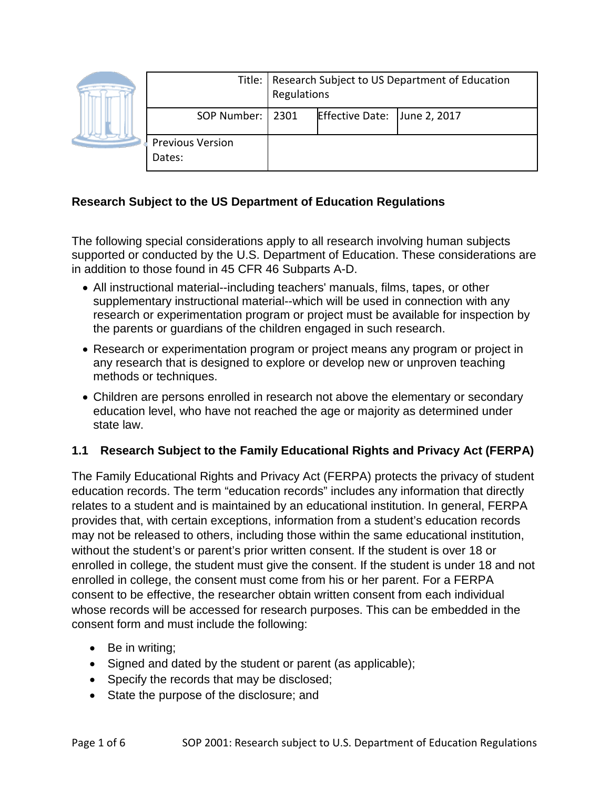|  |                                   | Title:   Research Subject to US Department of Education<br>Regulations |                        |              |
|--|-----------------------------------|------------------------------------------------------------------------|------------------------|--------------|
|  | SOP Number:   2301                |                                                                        | <b>Effective Date:</b> | June 2, 2017 |
|  | <b>Previous Version</b><br>Dates: |                                                                        |                        |              |

## **Research Subject to the US Department of Education Regulations**

The following special considerations apply to all research involving human subjects supported or conducted by the U.S. Department of Education. These considerations are in addition to those found in 45 CFR 46 Subparts A-D.

- All instructional material--including teachers' manuals, films, tapes, or other supplementary instructional material--which will be used in connection with any research or experimentation program or project must be available for inspection by the parents or guardians of the children engaged in such research.
- Research or experimentation program or project means any program or project in any research that is designed to explore or develop new or unproven teaching methods or techniques.
- Children are persons enrolled in research not above the elementary or secondary education level, who have not reached the age or majority as determined under state law.

## **1.1 Research Subject to the Family Educational Rights and Privacy Act (FERPA)**

The Family Educational Rights and Privacy Act (FERPA) protects the privacy of student education records. The term "education records" includes any information that directly relates to a student and is maintained by an educational institution. In general, FERPA provides that, with certain exceptions, information from a student's education records may not be released to others, including those within the same educational institution, without the student's or parent's prior written consent. If the student is over 18 or enrolled in college, the student must give the consent. If the student is under 18 and not enrolled in college, the consent must come from his or her parent. For a FERPA consent to be effective, the researcher obtain written consent from each individual whose records will be accessed for research purposes. This can be embedded in the consent form and must include the following:

- Be in writing;
- Signed and dated by the student or parent (as applicable);
- Specify the records that may be disclosed;
- State the purpose of the disclosure; and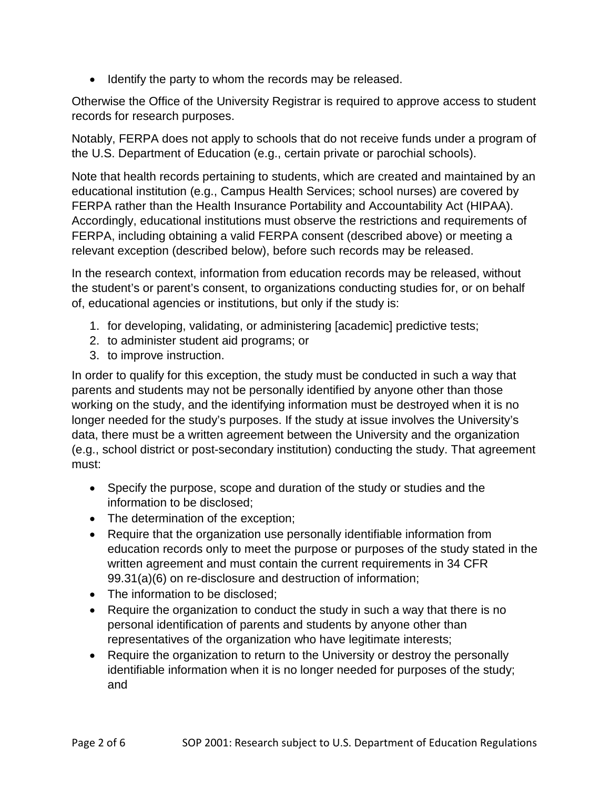• Identify the party to whom the records may be released.

Otherwise the Office of the University Registrar is required to approve access to student records for research purposes.

Notably, FERPA does not apply to schools that do not receive funds under a program of the U.S. Department of Education (e.g., certain private or parochial schools).

Note that health records pertaining to students, which are created and maintained by an educational institution (e.g., Campus Health Services; school nurses) are covered by FERPA rather than the Health Insurance Portability and Accountability Act (HIPAA). Accordingly, educational institutions must observe the restrictions and requirements of FERPA, including obtaining a valid FERPA consent (described above) or meeting a relevant exception (described below), before such records may be released.

In the research context, information from education records may be released, without the student's or parent's consent, to organizations conducting studies for, or on behalf of, educational agencies or institutions, but only if the study is:

- 1. for developing, validating, or administering [academic] predictive tests;
- 2. to administer student aid programs; or
- 3. to improve instruction.

In order to qualify for this exception, the study must be conducted in such a way that parents and students may not be personally identified by anyone other than those working on the study, and the identifying information must be destroyed when it is no longer needed for the study's purposes. If the study at issue involves the University's data, there must be a written agreement between the University and the organization (e.g., school district or post-secondary institution) conducting the study. That agreement must:

- Specify the purpose, scope and duration of the study or studies and the information to be disclosed;
- The determination of the exception;
- Require that the organization use personally identifiable information from education records only to meet the purpose or purposes of the study stated in the written agreement and must contain the current requirements in 34 CFR 99.31(a)(6) on re-disclosure and destruction of information;
- The information to be disclosed:
- Require the organization to conduct the study in such a way that there is no personal identification of parents and students by anyone other than representatives of the organization who have legitimate interests;
- Require the organization to return to the University or destroy the personally identifiable information when it is no longer needed for purposes of the study; and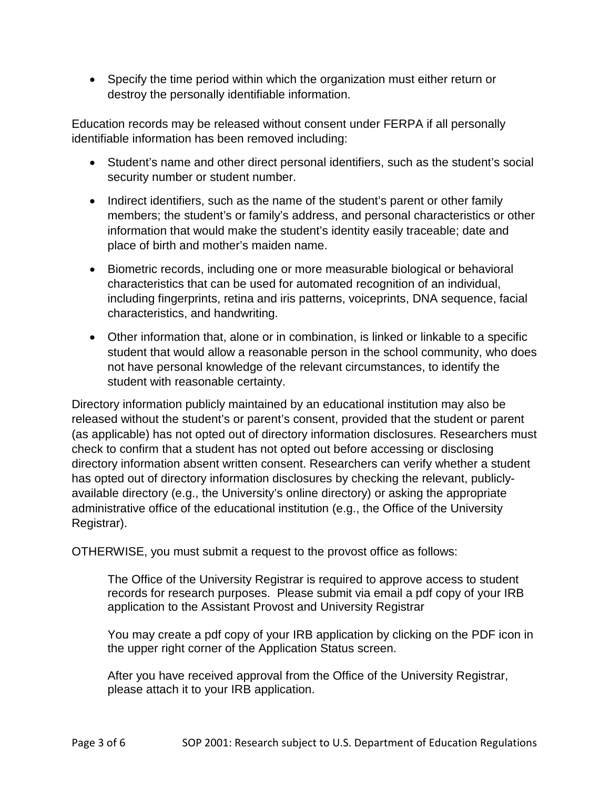• Specify the time period within which the organization must either return or destroy the personally identifiable information.

Education records may be released without consent under FERPA if all personally identifiable information has been removed including:

- Student's name and other direct personal identifiers, such as the student's social security number or student number.
- Indirect identifiers, such as the name of the student's parent or other family members; the student's or family's address, and personal characteristics or other information that would make the student's identity easily traceable; date and place of birth and mother's maiden name.
- Biometric records, including one or more measurable biological or behavioral characteristics that can be used for automated recognition of an individual, including fingerprints, retina and iris patterns, voiceprints, DNA sequence, facial characteristics, and handwriting.
- Other information that, alone or in combination, is linked or linkable to a specific student that would allow a reasonable person in the school community, who does not have personal knowledge of the relevant circumstances, to identify the student with reasonable certainty.

Directory information publicly maintained by an educational institution may also be released without the student's or parent's consent, provided that the student or parent (as applicable) has not opted out of directory information disclosures. Researchers must check to confirm that a student has not opted out before accessing or disclosing directory information absent written consent. Researchers can verify whether a student has opted out of directory information disclosures by checking the relevant, publiclyavailable directory (e.g., the University's online directory) or asking the appropriate administrative office of the educational institution (e.g., the Office of the University Registrar).

OTHERWISE, you must submit a request to the provost office as follows:

The Office of the University Registrar is required to approve access to student records for research purposes. Please submit via email a pdf copy of your IRB application to the Assistant Provost and University Registrar

You may create a pdf copy of your IRB application by clicking on the PDF icon in the upper right corner of the Application Status screen.

After you have received approval from the Office of the University Registrar, please attach it to your IRB application.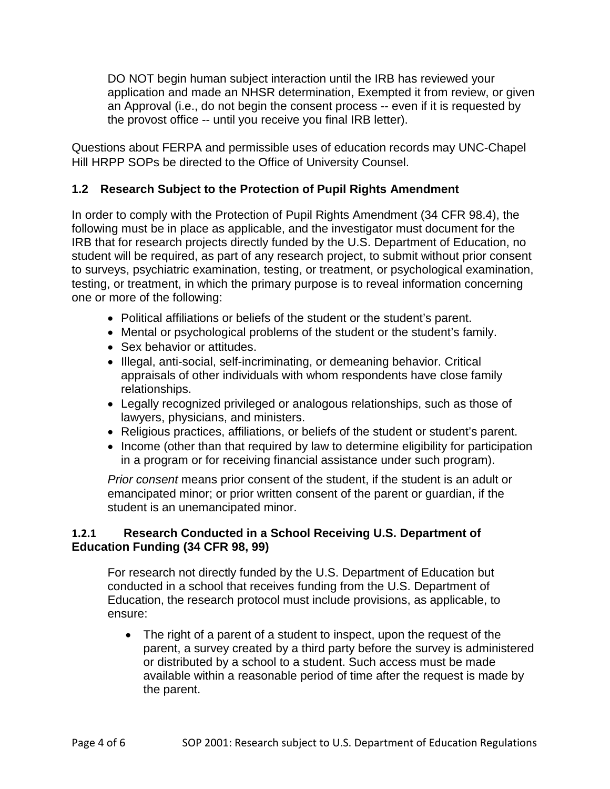DO NOT begin human subject interaction until the IRB has reviewed your application and made an NHSR determination, Exempted it from review, or given an Approval (i.e., do not begin the consent process -- even if it is requested by the provost office -- until you receive you final IRB letter).

Questions about FERPA and permissible uses of education records may UNC-Chapel Hill HRPP SOPs be directed to the Office of University Counsel.

## **1.2 Research Subject to the Protection of Pupil Rights Amendment**

In order to comply with the Protection of Pupil Rights Amendment (34 CFR 98.4), the following must be in place as applicable, and the investigator must document for the IRB that for research projects directly funded by the U.S. Department of Education, no student will be required, as part of any research project, to submit without prior consent to surveys, psychiatric examination, testing, or treatment, or psychological examination, testing, or treatment, in which the primary purpose is to reveal information concerning one or more of the following:

- Political affiliations or beliefs of the student or the student's parent.
- Mental or psychological problems of the student or the student's family.
- Sex behavior or attitudes.
- Illegal, anti-social, self-incriminating, or demeaning behavior. Critical appraisals of other individuals with whom respondents have close family relationships.
- Legally recognized privileged or analogous relationships, such as those of lawyers, physicians, and ministers.
- Religious practices, affiliations, or beliefs of the student or student's parent.
- Income (other than that required by law to determine eligibility for participation in a program or for receiving financial assistance under such program).

*Prior consent* means prior consent of the student, if the student is an adult or emancipated minor; or prior written consent of the parent or guardian, if the student is an unemancipated minor.

## **1.2.1 Research Conducted in a School Receiving U.S. Department of Education Funding (34 CFR 98, 99)**

For research not directly funded by the U.S. Department of Education but conducted in a school that receives funding from the U.S. Department of Education, the research protocol must include provisions, as applicable, to ensure:

• The right of a parent of a student to inspect, upon the request of the parent, a survey created by a third party before the survey is administered or distributed by a school to a student. Such access must be made available within a reasonable period of time after the request is made by the parent.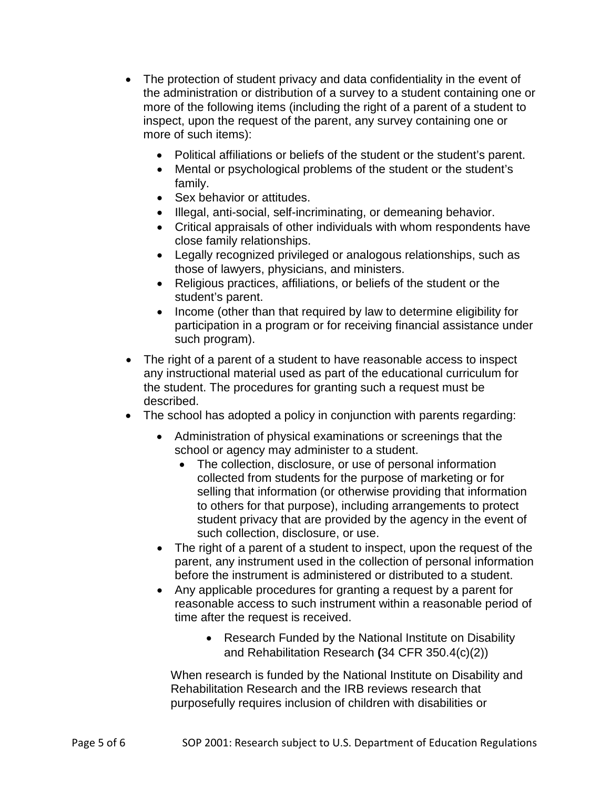- The protection of student privacy and data confidentiality in the event of the administration or distribution of a survey to a student containing one or more of the following items (including the right of a parent of a student to inspect, upon the request of the parent, any survey containing one or more of such items):
	- Political affiliations or beliefs of the student or the student's parent.
	- Mental or psychological problems of the student or the student's family.
	- Sex behavior or attitudes.
	- Illegal, anti-social, self-incriminating, or demeaning behavior.
	- Critical appraisals of other individuals with whom respondents have close family relationships.
	- Legally recognized privileged or analogous relationships, such as those of lawyers, physicians, and ministers.
	- Religious practices, affiliations, or beliefs of the student or the student's parent.
	- Income (other than that required by law to determine eligibility for participation in a program or for receiving financial assistance under such program).
- The right of a parent of a student to have reasonable access to inspect any instructional material used as part of the educational curriculum for the student. The procedures for granting such a request must be described.
- The school has adopted a policy in conjunction with parents regarding:
	- Administration of physical examinations or screenings that the school or agency may administer to a student.
		- The collection, disclosure, or use of personal information collected from students for the purpose of marketing or for selling that information (or otherwise providing that information to others for that purpose), including arrangements to protect student privacy that are provided by the agency in the event of such collection, disclosure, or use.
	- The right of a parent of a student to inspect, upon the request of the parent, any instrument used in the collection of personal information before the instrument is administered or distributed to a student.
	- Any applicable procedures for granting a request by a parent for reasonable access to such instrument within a reasonable period of time after the request is received.
		- Research Funded by the National Institute on Disability and Rehabilitation Research **(**34 CFR 350.4(c)(2))

When research is funded by the National Institute on Disability and Rehabilitation Research and the IRB reviews research that purposefully requires inclusion of children with disabilities or